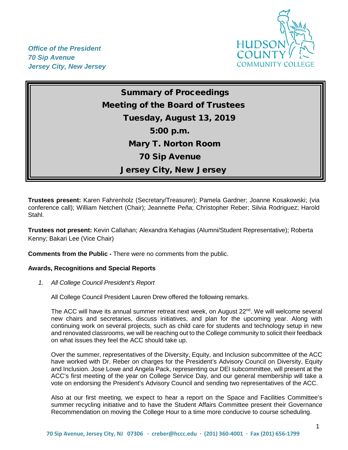

*Office of the President 70 Sip Avenue Jersey City, New Jersey*

> Summary of Proceedings Meeting of the Board of Trustees Tuesday, August 13, 2019 5:00 p.m. Mary T. Norton Room 70 Sip Avenue Jersey City, New Jersey

**Trustees present:** Karen Fahrenholz (Secretary/Treasurer); Pamela Gardner; Joanne Kosakowski; (via conference call); William Netchert (Chair); Jeannette Peña; Christopher Reber; Silvia Rodriguez; Harold Stahl.

**Trustees not present:** Kevin Callahan; Alexandra Kehagias (Alumni/Student Representative); Roberta Kenny; Bakari Lee (Vice Chair)

**Comments from the Public** *-* There were no comments from the public.

## **Awards, Recognitions and Special Reports**

*1. All College Council President's Report* 

All College Council President Lauren Drew offered the following remarks.

The ACC will have its annual summer retreat next week, on August  $22<sup>nd</sup>$ . We will welcome several new chairs and secretaries, discuss initiatives, and plan for the upcoming year. Along with continuing work on several projects, such as child care for students and technology setup in new and renovated classrooms, we will be reaching out to the College community to solicit their feedback on what issues they feel the ACC should take up.

Over the summer, representatives of the Diversity, Equity, and Inclusion subcommittee of the ACC have worked with Dr. Reber on charges for the President's Advisory Council on Diversity, Equity and Inclusion. Jose Lowe and Angela Pack, representing our DEI subcommittee, will present at the ACC's first meeting of the year on College Service Day, and our general membership will take a vote on endorsing the President's Advisory Council and sending two representatives of the ACC.

Also at our first meeting, we expect to hear a report on the Space and Facilities Committee's summer recycling initiative and to have the Student Affairs Committee present their Governance Recommendation on moving the College Hour to a time more conducive to course scheduling.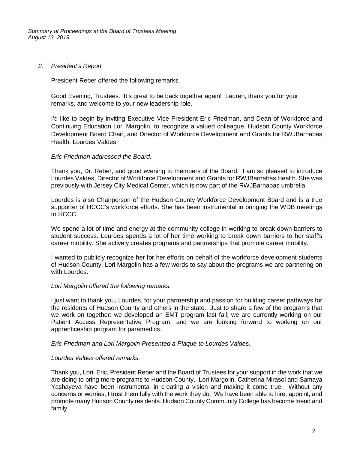### *2. President's Report*

President Reber offered the following remarks.

Good Evening, Trustees. It's great to be back together again! Lauren, thank you for your remarks, and welcome to your new leadership role.

I'd like to begin by inviting Executive Vice President Eric Friedman, and Dean of Workforce and Continuing Education Lori Margolin, to recognize a valued colleague, Hudson County Workforce Development Board Chair, and Director of Workforce Development and Grants for RWJBarnabas Health, Lourdes Valdes.

## *Eric Friedman addressed the Board.*

Thank you, Dr. Reber, and good evening to members of the Board. I am so pleased to introduce Lourdes Valdes, Director of Workforce Development and Grants for RWJBarnabas Health. She was previously with Jersey City Medical Center, which is now part of the RWJBarnabas umbrella.

Lourdes is also Chairperson of the Hudson County Workforce Development Board and is a true supporter of HCCC's workforce efforts. She has been instrumental in bringing the WDB meetings to HCCC.

We spend a lot of time and energy at the community college in working to break down barriers to student success. Lourdes spends a lot of her time working to break down barriers to her staff's career mobility. She actively creates programs and partnerships that promote career mobility.

I wanted to publicly recognize her for her efforts on behalf of the workforce development students of Hudson County. Lori Margolin has a few words to say about the programs we are partnering on with Lourdes.

#### *Lori Margolin offered the following remarks.*

I just want to thank you, Lourdes, for your partnership and passion for building career pathways for the residents of Hudson County and others in the state. Just to share a few of the programs that we work on together: we developed an EMT program last fall; we are currently working on our Patient Access Representative Program; and we are looking forward to working on our apprenticeship program for paramedics.

*Eric Friedman and Lori Margolin Presented a Plaque to Lourdes Valdes.*

#### *Lourdes Valdes offered remarks.*

Thank you, Lori, Eric, President Reber and the Board of Trustees for your support in the work that we are doing to bring more programs to Hudson County. Lori Margolin, Catherina Mirasol and Samaya Yashayeva have been instrumental in creating a vision and making it come true. Without any concerns or worries, I trust them fully with the work they do. We have been able to hire, appoint, and promote many Hudson County residents. Hudson County Community College has become friend and family.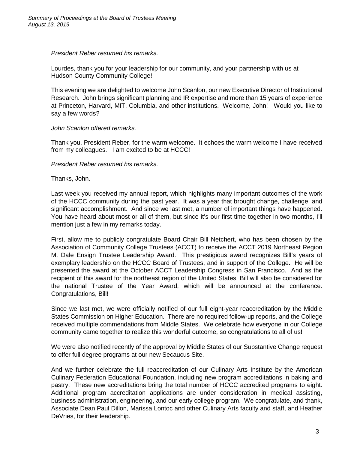*President Reber resumed his remarks.*

Lourdes, thank you for your leadership for our community, and your partnership with us at Hudson County Community College!

This evening we are delighted to welcome John Scanlon, our new Executive Director of Institutional Research. John brings significant planning and IR expertise and more than 15 years of experience at Princeton, Harvard, MIT, Columbia, and other institutions. Welcome, John! Would you like to say a few words?

## *John Scanlon offered remarks.*

Thank you, President Reber, for the warm welcome. It echoes the warm welcome I have received from my colleagues. I am excited to be at HCCC!

## *President Reber resumed his remarks.*

Thanks, John.

Last week you received my annual report, which highlights many important outcomes of the work of the HCCC community during the past year. It was a year that brought change, challenge, and significant accomplishment. And since we last met, a number of important things have happened. You have heard about most or all of them, but since it's our first time together in two months, I'll mention just a few in my remarks today.

First, allow me to publicly congratulate Board Chair Bill Netchert, who has been chosen by the Association of Community College Trustees (ACCT) to receive the ACCT 2019 Northeast Region M. Dale Ensign Trustee Leadership Award. This prestigious award recognizes Bill's years of exemplary leadership on the HCCC Board of Trustees, and in support of the College. He will be presented the award at the October ACCT Leadership Congress in San Francisco. And as the recipient of this award for the northeast region of the United States, Bill will also be considered for the national Trustee of the Year Award, which will be announced at the conference. Congratulations, Bill!

Since we last met, we were officially notified of our full eight-year reaccreditation by the Middle States Commission on Higher Education. There are no required follow-up reports, and the College received multiple commendations from Middle States. We celebrate how everyone in our College community came together to realize this wonderful outcome, so congratulations to all of us!

We were also notified recently of the approval by Middle States of our Substantive Change request to offer full degree programs at our new Secaucus Site.

And we further celebrate the full reaccreditation of our Culinary Arts Institute by the American Culinary Federation Educational Foundation, including new program accreditations in baking and pastry. These new accreditations bring the total number of HCCC accredited programs to eight. Additional program accreditation applications are under consideration in medical assisting, business administration, engineering, and our early college program. We congratulate, and thank, Associate Dean Paul Dillon, Marissa Lontoc and other Culinary Arts faculty and staff, and Heather DeVries, for their leadership.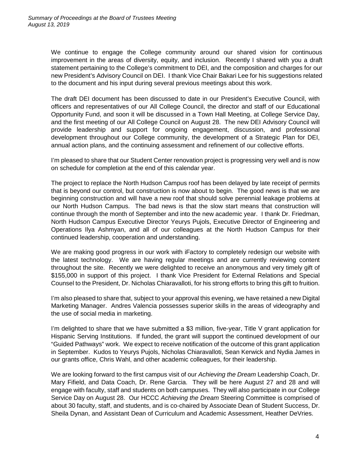We continue to engage the College community around our shared vision for continuous improvement in the areas of diversity, equity, and inclusion. Recently I shared with you a draft statement pertaining to the College's commitment to DEI, and the composition and charges for our new President's Advisory Council on DEI. I thank Vice Chair Bakari Lee for his suggestions related to the document and his input during several previous meetings about this work.

The draft DEI document has been discussed to date in our President's Executive Council, with officers and representatives of our All College Council, the director and staff of our Educational Opportunity Fund, and soon it will be discussed in a Town Hall Meeting, at College Service Day, and the first meeting of our All College Council on August 28. The new DEI Advisory Council will provide leadership and support for ongoing engagement, discussion, and professional development throughout our College community, the development of a Strategic Plan for DEI, annual action plans, and the continuing assessment and refinement of our collective efforts.

I'm pleased to share that our Student Center renovation project is progressing very well and is now on schedule for completion at the end of this calendar year.

The project to replace the North Hudson Campus roof has been delayed by late receipt of permits that is beyond our control, but construction is now about to begin. The good news is that we are beginning construction and will have a new roof that should solve perennial leakage problems at our North Hudson Campus. The bad news is that the slow start means that construction will continue through the month of September and into the new academic year. I thank Dr. Friedman, North Hudson Campus Executive Director Yeurys Pujols, Executive Director of Engineering and Operations Ilya Ashmyan, and all of our colleagues at the North Hudson Campus for their continued leadership, cooperation and understanding.

We are making good progress in our work with iFactory to completely redesign our website with the latest technology. We are having regular meetings and are currently reviewing content throughout the site. Recently we were delighted to receive an anonymous and very timely gift of \$155,000 in support of this project. I thank Vice President for External Relations and Special Counsel to the President, Dr. Nicholas Chiaravalloti, for his strong efforts to bring this gift to fruition.

I'm also pleased to share that, subject to your approval this evening, we have retained a new Digital Marketing Manager. Andres Valencia possesses superior skills in the areas of videography and the use of social media in marketing.

I'm delighted to share that we have submitted a \$3 million, five-year, Title V grant application for Hispanic Serving Institutions. If funded, the grant will support the continued development of our "Guided Pathways" work. We expect to receive notification of the outcome of this grant application in September. Kudos to Yeurys Pujols, Nicholas Chiaravalloti, Sean Kerwick and Nydia James in our grants office, Chris Wahl, and other academic colleagues, for their leadership.

We are looking forward to the first campus visit of our *Achieving the Dream* Leadership Coach, Dr. Mary Fifield, and Data Coach, Dr. Rene Garcia. They will be here August 27 and 28 and will engage with faculty, staff and students on both campuses. They will also participate in our College Service Day on August 28. Our HCCC *Achieving the Dream* Steering Committee is comprised of about 30 faculty, staff, and students, and is co-chaired by Associate Dean of Student Success, Dr. Sheila Dynan, and Assistant Dean of Curriculum and Academic Assessment, Heather DeVries.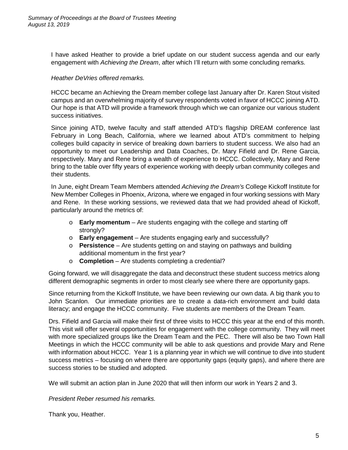I have asked Heather to provide a brief update on our student success agenda and our early engagement with *Achieving the Dream*, after which I'll return with some concluding remarks.

# *Heather DeVries offered remarks.*

HCCC became an Achieving the Dream member college last January after Dr. Karen Stout visited campus and an overwhelming majority of survey respondents voted in favor of HCCC joining ATD. Our hope is that ATD will provide a framework through which we can organize our various student success initiatives.

Since joining ATD, twelve faculty and staff attended ATD's flagship DREAM conference last February in Long Beach, California, where we learned about ATD's commitment to helping colleges build capacity in service of breaking down barriers to student success. We also had an opportunity to meet our Leadership and Data Coaches, Dr. Mary Fifield and Dr. Rene Garcia, respectively. Mary and Rene bring a wealth of experience to HCCC. Collectively, Mary and Rene bring to the table over fifty years of experience working with deeply urban community colleges and their students.

In June, eight Dream Team Members attended *Achieving the Dream's* College Kickoff Institute for New Member Colleges in Phoenix, Arizona, where we engaged in four working sessions with Mary and Rene. In these working sessions, we reviewed data that we had provided ahead of Kickoff, particularly around the metrics of:

- o **Early momentum** Are students engaging with the college and starting off strongly?
- o **Early engagement** Are students engaging early and successfully?
- o **Persistence** Are students getting on and staying on pathways and building additional momentum in the first year?
- o **Completion** Are students completing a credential?

Going forward, we will disaggregate the data and deconstruct these student success metrics along different demographic segments in order to most clearly see where there are opportunity gaps.

Since returning from the Kickoff Institute, we have been reviewing our own data. A big thank you to John Scanlon. Our immediate priorities are to create a data-rich environment and build data literacy; and engage the HCCC community. Five students are members of the Dream Team.

Drs. Fifield and Garcia will make their first of three visits to HCCC this year at the end of this month. This visit will offer several opportunities for engagement with the college community. They will meet with more specialized groups like the Dream Team and the PEC. There will also be two Town Hall Meetings in which the HCCC community will be able to ask questions and provide Mary and Rene with information about HCCC. Year 1 is a planning year in which we will continue to dive into student success metrics – focusing on where there are opportunity gaps (equity gaps), and where there are success stories to be studied and adopted.

We will submit an action plan in June 2020 that will then inform our work in Years 2 and 3.

*President Reber resumed his remarks.*

Thank you, Heather.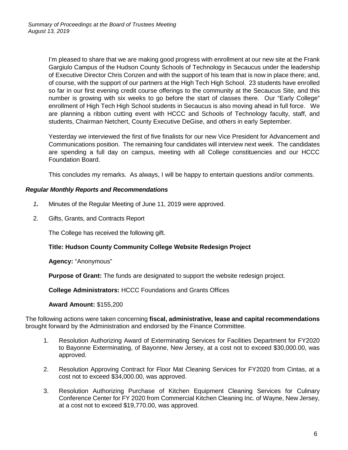I'm pleased to share that we are making good progress with enrollment at our new site at the Frank Gargiulo Campus of the Hudson County Schools of Technology in Secaucus under the leadership of Executive Director Chris Conzen and with the support of his team that is now in place there; and, of course, with the support of our partners at the High Tech High School. 23 students have enrolled so far in our first evening credit course offerings to the community at the Secaucus Site, and this number is growing with six weeks to go before the start of classes there. Our "Early College" enrollment of High Tech High School students in Secaucus is also moving ahead in full force. We are planning a ribbon cutting event with HCCC and Schools of Technology faculty, staff, and students, Chairman Netchert, County Executive DeGise, and others in early September.

Yesterday we interviewed the first of five finalists for our new Vice President for Advancement and Communications position. The remaining four candidates will interview next week. The candidates are spending a full day on campus, meeting with all College constituencies and our HCCC Foundation Board.

This concludes my remarks. As always, I will be happy to entertain questions and/or comments.

## *Regular Monthly Reports and Recommendations*

- *1.* Minutes of the Regular Meeting of June 11, 2019 were approved.
- 2. Gifts, Grants, and Contracts Report

The College has received the following gift.

## **Title: Hudson County Community College Website Redesign Project**

**Agency:** "Anonymous"

**Purpose of Grant:** The funds are designated to support the website redesign project.

**College Administrators:** HCCC Foundations and Grants Offices

**Award Amount:** \$155,200

The following actions were taken concerning **fiscal, administrative, lease and capital recommendations** brought forward by the Administration and endorsed by the Finance Committee.

- 1. Resolution Authorizing Award of Exterminating Services for Facilities Department for FY2020 to Bayonne Exterminating, of Bayonne, New Jersey, at a cost not to exceed \$30,000.00, was approved.
- 2. Resolution Approving Contract for Floor Mat Cleaning Services for FY2020 from Cintas, at a cost not to exceed \$34,000.00, was approved.
- 3. Resolution Authorizing Purchase of Kitchen Equipment Cleaning Services for Culinary Conference Center for FY 2020 from Commercial Kitchen Cleaning Inc. of Wayne, New Jersey, at a cost not to exceed \$19,770.00, was approved.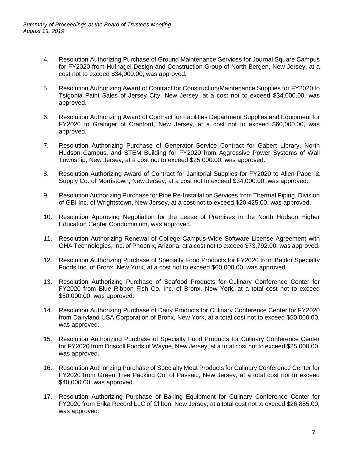- 4. Resolution Authorizing Purchase of Ground Maintenance Services for Journal Square Campus for FY2020 from Hufnagel Design and Construction Group of North Bergen, New Jersey, at a cost not to exceed \$34,000.00, was approved.
- 5. Resolution Authorizing Award of Contract for Construction/Maintenance Supplies for FY2020 to Tsigonia Paint Sales of Jersey City, New Jersey, at a cost not to exceed \$34,000.00, was approved.
- 6. Resolution Authorizing Award of Contract for Facilities Department Supplies and Equipment for FY2020 to Grainger of Cranford, New Jersey, at a cost not to exceed \$60,000.00, was approved.
- 7. Resolution Authorizing Purchase of Generator Service Contract for Gabert Library, North Hudson Campus, and STEM Building for FY2020 from Aggressive Power Systems of Wall Township, New Jersey, at a cost not to exceed \$25,000.00, was approved.
- 8. Resolution Authorizing Award of Contract for Janitorial Supplies for FY2020 to Allen Paper & Supply Co. of Morristown, New Jersey, at a cost not to exceed \$34,000.00, was approved.
- 9. Resolution Authorizing Purchase for Pipe Re-Installation Services from Thermal Piping, Division of GBI Inc. of Wrightstown, New Jersey, at a cost not to exceed \$20,425.00, was approved.
- 10. Resolution Approving Negotiation for the Lease of Premises in the North Hudson Higher Education Center Condominium, was approved.
- 11. Resolution Authorizing Renewal of College Campus-Wide Software License Agreement with GHA Technologies, Inc. of Phoenix, Arizona, at a cost not to exceed \$73,792.00, was approved.
- 12. Resolution Authorizing Purchase of Specialty Food Products for FY2020 from Baldor Specialty Foods Inc. of Bronx, New York, at a cost not to exceed \$60,000.00, was approved.
- 13. Resolution Authorizing Purchase of Seafood Products for Culinary Conference Center for FY2020 from Blue Ribbon Fish Co. Inc. of Bronx, New York, at a total cost not to exceed \$50,000.00, was approved.
- 14. Resolution Authorizing Purchase of Dairy Products for Culinary Conference Center for FY2020 from Dairyland USA Corporation of Bronx, New York, at a total cost not to exceed \$50,000.00, was approved.
- 15. Resolution Authorizing Purchase of Specialty Food Products for Culinary Conference Center for FY2020 from Driscoll Foods of Wayne, New Jersey, at a total cost not to exceed \$25,000.00, was approved.
- 16. Resolution Authorizing Purchase of Specialty Meat Products for Culinary Conference Center for FY2020 from Green Tree Packing Co. of Passaic, New Jersey, at a total cost not to exceed \$40,000.00, was approved.
- 17. Resolution Authorizing Purchase of Baking Equipment for Culinary Conference Center for FY2020 from Erika Record LLC of Clifton, New Jersey, at a total cost not to exceed \$26,885.00, was approved.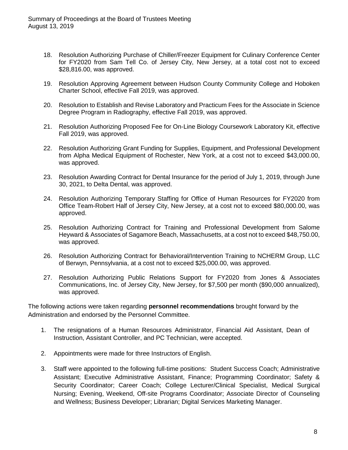- 18. Resolution Authorizing Purchase of Chiller/Freezer Equipment for Culinary Conference Center for FY2020 from Sam Tell Co. of Jersey City, New Jersey, at a total cost not to exceed \$28,816.00, was approved.
- 19. Resolution Approving Agreement between Hudson County Community College and Hoboken Charter School, effective Fall 2019, was approved.
- 20. Resolution to Establish and Revise Laboratory and Practicum Fees for the Associate in Science Degree Program in Radiography, effective Fall 2019, was approved.
- 21. Resolution Authorizing Proposed Fee for On-Line Biology Coursework Laboratory Kit, effective Fall 2019, was approved.
- 22. Resolution Authorizing Grant Funding for Supplies, Equipment, and Professional Development from Alpha Medical Equipment of Rochester, New York, at a cost not to exceed \$43,000.00, was approved.
- 23. Resolution Awarding Contract for Dental Insurance for the period of July 1, 2019, through June 30, 2021, to Delta Dental, was approved.
- 24. Resolution Authorizing Temporary Staffing for Office of Human Resources for FY2020 from Office Team-Robert Half of Jersey City, New Jersey, at a cost not to exceed \$80,000.00, was approved.
- 25. Resolution Authorizing Contract for Training and Professional Development from Salome Heyward & Associates of Sagamore Beach, Massachusetts, at a cost not to exceed \$48,750.00, was approved.
- 26. Resolution Authorizing Contract for Behavioral/Intervention Training to NCHERM Group, LLC of Berwyn, Pennsylvania, at a cost not to exceed \$25,000.00, was approved.
- 27. Resolution Authorizing Public Relations Support for FY2020 from Jones & Associates Communications, Inc. of Jersey City, New Jersey, for \$7,500 per month (\$90,000 annualized), was approved.

The following actions were taken regarding **personnel recommendations** brought forward by the Administration and endorsed by the Personnel Committee.

- 1. The resignations of a Human Resources Administrator, Financial Aid Assistant, Dean of Instruction, Assistant Controller, and PC Technician, were accepted.
- 2. Appointments were made for three Instructors of English.
- 3. Staff were appointed to the following full-time positions: Student Success Coach; Administrative Assistant; Executive Administrative Assistant, Finance; Programming Coordinator; Safety & Security Coordinator; Career Coach; College Lecturer/Clinical Specialist, Medical Surgical Nursing; Evening, Weekend, Off-site Programs Coordinator; Associate Director of Counseling and Wellness; Business Developer; Librarian; Digital Services Marketing Manager.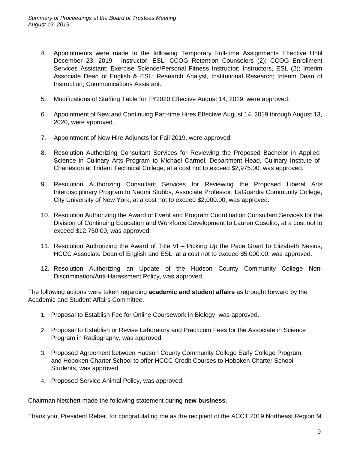- 4. Appointments were made to the following Temporary Full-time Assignments Effective Until December 23, 2019: Instructor, ESL; CCOG Retention Counselors (2); CCOG Enrollment Services Assistant; Exercise Science/Personal Fitness Instructor; Instructors, ESL (2); Interim Associate Dean of English & ESL; Research Analyst, Institutional Research; Interim Dean of Instruction; Communications Assistant.
- 5. Modifications of Staffing Table for FY2020 Effective August 14, 2019, were approved.
- 6. Appointment of New and Continuing Part-time Hires Effective August 14, 2019 through August 13, 2020, were approved.
- 7. Appointment of New Hire Adjuncts for Fall 2019, were approved.
- 8. Resolution Authorizing Consultant Services for Reviewing the Proposed Bachelor in Applied Science in Culinary Arts Program to Michael Carmel, Department Head, Culinary Institute of Charleston at Trident Technical College, at a cost not to exceed \$2,975.00, was approved.
- 9. Resolution Authorizing Consultant Services for Reviewing the Proposed Liberal Arts Interdisciplinary Program to Naomi Stubbs, Associate Professor, LaGuardia Community College, City University of New York, at a cost not to exceed \$2,000.00, was approved.
- 10. Resolution Authorizing the Award of Event and Program Coordination Consultant Services for the Division of Continuing Education and Workforce Development to Lauren Cusolito, at a cost not to exceed \$12,750.00, was approved.
- 11. Resolution Authorizing the Award of Title VI Picking Up the Pace Grant to Elizabeth Nesius, HCCC Associate Dean of English and ESL, at a cost not to exceed \$5,000.00, was approved.
- 12. Resolution Authorizing an Update of the Hudson County Community College Non-Discrimination/Anti-Harassment Policy, was approved.

The following actions were taken regarding **academic and student affairs** as brought forward by the Academic and Student Affairs Committee.

- 1. Proposal to Establish Fee for Online Coursework in Biology, was approved.
- 2. Proposal to Establish or Revise Laboratory and Practicum Fees for the Associate in Science Program in Radiography, was approved.
- 3. Proposed Agreement between Hudson County Community College Early College Program and Hoboken Charter School to offer HCCC Credit Courses to Hoboken Charter School Students, was approved.
- 4. Proposed Service Animal Policy, was approved.

Chairman Netchert made the following statement during **new business**.

Thank you, President Reber, for congratulating me as the recipient of the ACCT 2019 Northeast Region M.